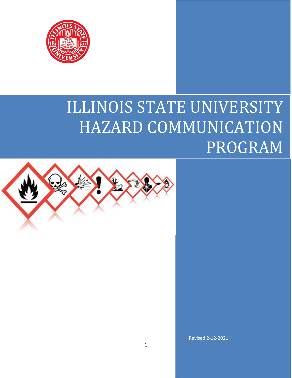

# ILLINOIS STATE UNIVERSITY HAZARD COMMUNICATION PROGRAM



Revised 2-12-2021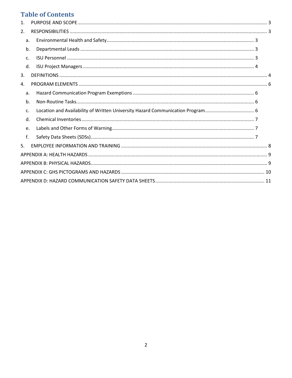# **Table of Contents**

| $\mathbf{1}$ |             |                                                                                |  |
|--------------|-------------|--------------------------------------------------------------------------------|--|
| 2.           |             |                                                                                |  |
|              | a.          |                                                                                |  |
|              | b.          |                                                                                |  |
|              | $C_{\cdot}$ |                                                                                |  |
|              | d.          |                                                                                |  |
| 3.           |             |                                                                                |  |
| 4.           |             |                                                                                |  |
|              | a.          |                                                                                |  |
|              | b.          |                                                                                |  |
|              | c.          | Location and Availability of Written University Hazard Communication Program 6 |  |
|              | d.          |                                                                                |  |
|              | e.          |                                                                                |  |
|              | f.          |                                                                                |  |
| 5.           |             |                                                                                |  |
|              |             |                                                                                |  |
|              |             |                                                                                |  |
|              |             |                                                                                |  |
|              |             |                                                                                |  |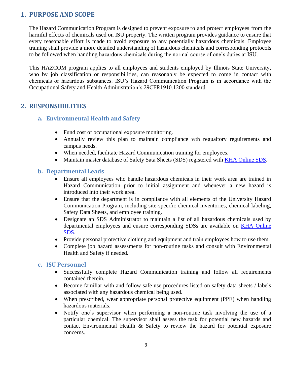### <span id="page-2-0"></span>**1. PURPOSE AND SCOPE**

The Hazard Communication Program is designed to prevent exposure to and protect employees from the harmful effects of chemicals used on ISU property. The written program provides guidance to ensure that every reasonable effort is made to avoid exposure to any potentially hazardous chemicals. Employee training shall provide a more detailed understanding of hazardous chemicals and corresponding protocols to be followed when handling hazardous chemicals during the normal course of one's duties at ISU.

This HAZCOM program applies to all employees and students employed by Illinois State University, who by job classification or responsibilities, can reasonably be expected to come in contact with chemicals or hazardous substances. ISU's Hazard Communication Program is in accordance with the Occupational Safety and Health Administration's 29CFR1910.1200 standard.

## <span id="page-2-2"></span><span id="page-2-1"></span>**2. RESPONSIBILITIES**

- **a. Environmental Health and Safety**
	- Fund cost of occupational exposure monitoring.
	- Annually review this plan to maintain compliance wth regualtory reguirements and campus needs.
	- When needed, facilitate Hazard Communication training for employees.
	- Maintain master database of Safety Sata Sheets (SDS) registered with **KHA Online SDS**.

#### <span id="page-2-3"></span>**b. Departmental Leads**

- Ensure all employees who handle hazardous chemicals in their work area are trained in Hazard Communication prior to initial assignment and whenever a new hazard is introduced into their work area.
- Ensure that the department is in compliance with all elements of the University Hazard Communication Program, including site-specific chemical inventories, chemical labeling, Safety Data Sheets, and employee training.
- Designate an SDS Administrator to maintain a list of all hazardous chemicals used by departmental employees and ensure corresponding SDSs are available on [KHA Online](https://illinoisstate.kha.com/)  [SDS.](https://illinoisstate.kha.com/)
- Provide personal protective clothing and equipment and train employees how to use them.
- Complete job hazard assessments for non-routine tasks and consult with Environmental Health and Safety if needed.

#### <span id="page-2-4"></span>**c. ISU Personnel**

- Successfully complete Hazard Communication training and follow all requirements contained therein.
- Become familiar with and follow safe use procedures listed on safety data sheets / labels associated with any hazardous chemical being used.
- When prescribed, wear appropriate personal protective equipment (PPE) when handling hazardous materials.
- Notify one's supervisor when performing a non-routine task involving the use of a particular chemical. The supervisor shall assess the task for potential new hazards and contact Environmental Health & Safety to review the hazard for potential exposure concerns.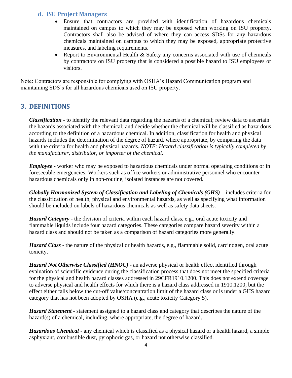#### <span id="page-3-0"></span>**d. ISU Project Managers**

- Ensure that contractors are provided with identification of hazardous chemicals maintained on campus to which they may be exposed when working on ISU property. Contractors shall also be advised of where they can access SDSs for any hazardous chemicals maintained on campus to which they may be exposed, appropriate protective measures, and labeling requirements.
- Report to Environmental Health & Safety any concerns associated with use of chemicals by contractors on ISU property that is considered a possible hazard to ISU employees or visitors.

Note: Contractors are responsible for complying with OSHA's Hazard Communication program and maintaining SDS's for all hazardous chemicals used on ISU property.

#### <span id="page-3-1"></span>**3. DEFINITIONS**

*Classification* - to identify the relevant data regarding the hazards of a chemical; review data to ascertain the hazards associated with the chemical; and decide whether the chemical will be classified as hazardous according to the definition of a hazardous chemical. In addition, classification for health and physical hazards includes the determination of the degree of hazard, where appropriate, by comparing the data with the criteria for health and physical hazards. *NOTE: Hazard classification is typically completed by the manufacturer, distributor, or importer of the chemical.*

*Employee* - worker who may be exposed to hazardous chemicals under normal operating conditions or in foreseeable emergencies. Workers such as office workers or administrative personnel who encounter hazardous chemicals only in non-routine, isolated instances are not covered.

*Globally Harmonized System of Classification and Labeling of Chemicals (GHS)* – includes criteria for the classification of health, physical and environmental hazards, as well as specifying what information should be included on labels of hazardous chemicals as well as safety data sheets.

*Hazard Category* - the division of criteria within each hazard class, e.g., oral acute toxicity and flammable liquids include four hazard categories. These categories compare hazard severity within a hazard class and should not be taken as a comparison of hazard categories more generally.

*Hazard Class* - the nature of the physical or health hazards, e.g., flammable solid, carcinogen, oral acute toxicity.

*Hazard Not Otherwise Classified (HNOC)* - an adverse physical or health effect identified through evaluation of scientific evidence during the classification process that does not meet the specified criteria for the physical and health hazard classes addressed in 29CFR1910.1200. This does not extend coverage to adverse physical and health effects for which there is a hazard class addressed in 1910.1200, but the effect either falls below the cut-off value/concentration limit of the hazard class or is under a GHS hazard category that has not been adopted by OSHA (e.g., acute toxicity Category 5).

*Hazard Statement* - statement assigned to a hazard class and category that describes the nature of the hazard(s) of a chemical, including, where appropriate, the degree of hazard.

*Hazardous Chemical* - any chemical which is classified as a physical hazard or a health hazard, a simple asphyxiant, combustible dust, pyrophoric gas, or hazard not otherwise classified.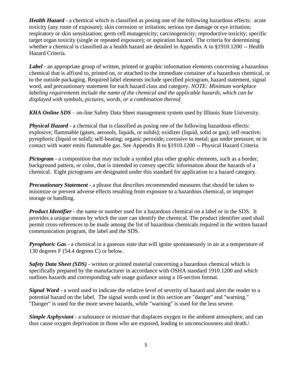*Health Hazard* - a chemical which is classified as posing one of the following hazardous effects: acute toxicity (any route of exposure); skin corrosion or irritation; serious eye damage or eye irritation; respiratory or skin sensitization; germ cell mutagenicity; carcinogenicity; reproductive toxicity; specific target organ toxicity (single or repeated exposure); or aspiration hazard. The criteria for determining whether a chemical is classified as a health hazard are detailed in Appendix A to §1910.1200 -- Health Hazard Criteria.

*Label* - an appropriate group of written, printed or graphic information elements concerning a hazardous chemical that is affixed to, printed on, or attached to the immediate container of a hazardous chemical, or to the outside packaging. Required label elements include specified pictogram, hazard statement, signal word, and precautionary statement for each hazard class and category. *NOTE: Minimum workplace labeling requirements include the name of the chemical and the applicable hazards, which can be displayed with symbols, pictures, words, or a combination thereof.*

*KHA Online SDS* – on-line Safety Data Sheet management system used by Illinois State University.

**Physical Hazard** - a chemical that is classified as posing one of the following hazardous effects: explosive; flammable (gases, aerosols, liquids, or solids); oxidizer (liquid, solid or gas); self-reactive; pyrophoric (liquid or solid); self-heating; organic peroxide; corrosive to metal; gas under pressure; or in contact with water emits flammable gas. See Appendix B to §1910.1200 -- Physical Hazard Criteria.

*Pictogram* - a composition that may include a symbol plus other graphic elements, such as a border, background pattern, or color, that is intended to convey specific information about the hazards of a chemical. Eight pictograms are designated under this standard for application to a hazard category.

*Precautionary Statement* - a phrase that describes recommended measures that should be taken to minimize or prevent adverse effects resulting from exposure to a hazardous chemical, or improper storage or handling.

*Product Identifier* - the name or number used for a hazardous chemical on a label or in the SDS. It provides a unique means by which the user can identify the chemical. The product identifier used shall permit cross-references to be made among the list of hazardous chemicals required in the written hazard communication program, the label and the SDS.

*Pyrophoric Gas* - a chemical in a gaseous state that will ignite spontaneously in air at a temperature of 130 degrees F (54.4 degrees C) or below.

**Safety Data Sheet (SDS)** - written or printed material concerning a hazardous chemical which is specifically prepared by the manufacturer in accordance with OSHA standard 1910.1200 and which outlines hazards and corresponding safe usage guidance using a 16-section format.

*Signal Word* - a word used to indicate the relative level of severity of hazard and alert the reader to a potential hazard on the label. The signal words used in this section are "danger" and "warning." "Danger" is used for the more severe hazards, while "warning" is used for the less severe.

*Simple Asphyxiant* - a substance or mixture that displaces oxygen in the ambient atmosphere, and can thus cause oxygen deprivation in those who are exposed, leading to unconsciousness and death.\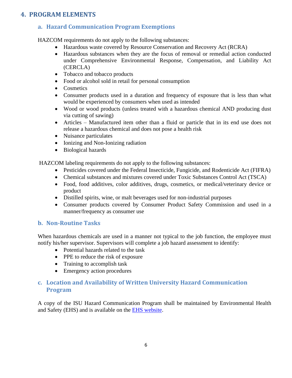## <span id="page-5-1"></span><span id="page-5-0"></span>**4. PROGRAM ELEMENTS**

# **a. Hazard Communication Program Exemptions**

HAZCOM requirements do not apply to the following substances:

- Hazardous waste covered by Resource Conservation and Recovery Act (RCRA)
- Hazardous substances when they are the focus of removal or remedial action conducted under Comprehensive Environmental Response, Compensation, and Liability Act (CERCLA)
- Tobacco and tobacco products
- Food or alcohol sold in retail for personal consumption
- Cosmetics
- Consumer products used in a duration and frequency of exposure that is less than what would be experienced by consumers when used as intended
- Wood or wood products (unless treated with a hazardous chemical AND producing dust via cutting of sawing)
- Articles Manufactured item other than a fluid or particle that in its end use does not release a hazardous chemical and does not pose a health risk
- Nuisance particulates
- Ionizing and Non-Ionizing radiation
- Biological hazards

HAZCOM labeling requirements do not apply to the following substances:

- Pesticides covered under the Federal Insecticide, Fungicide, and Rodenticide Act (FIFRA)
- Chemical substances and mixtures covered under Toxic Substances Control Act (TSCA)
- Food, food additives, color additives, drugs, cosmetics, or medical/veterinary device or product
- Distilled spirits, wine, or malt beverages used for non-industrial purposes
- Consumer products covered by Consumer Product Safety Commission and used in a manner/frequency as consumer use

#### <span id="page-5-2"></span>**b. Non-Routine Tasks**

When hazardous chemicals are used in a manner not typical to the job function, the employee must notify his/her supervisor. Supervisors will complete a job hazard assessment to identify:

- Potential hazards related to the task
- PPE to reduce the risk of exposure
- Training to accomplish task
- Emergency action procedures

### <span id="page-5-3"></span>**c. Location and Availability of Written University Hazard Communication Program**

A copy of the ISU Hazard Communication Program shall be maintained by Environmental Health and Safety (EHS) and is available on the [EHS website.](https://ehs.illinoisstate.edu/safety/occupational/hazard/)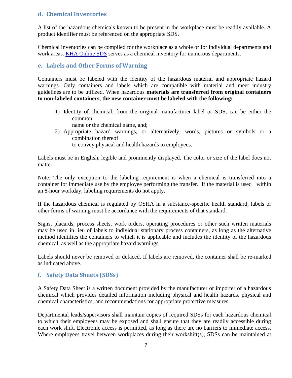#### <span id="page-6-0"></span>**d. Chemical Inventories**

A list of the hazardous chemicals known to be present in the workplace must be readily available. A product identifier must be referenced on the appropriate SDS.

Chemical inventories can be compiled for the workplace as a whole or for individual departments and work areas. [KHA Online SDS](https://illinoisstate.kha.com/) serves as a chemical inventory for numerous departments.

#### <span id="page-6-1"></span>**e. Labels and Other Forms of Warning**

Containers must be labeled with the identity of the hazardous material and appropriate hazard warnings. Only containers and labels which are compatible with material and meet industry guidelines are to be utilized. When hazardous **materials are transferred from original containers to non-labeled containers, the new container must be labeled with the following:**

- 1) Identity of chemical, from the original manufacturer label or SDS, can be either the common
	- name or the chemical name, and;
- 2) Appropriate hazard warnings, or alternatively, words, pictures or symbols or a combination thereof

to convey physical and health hazards to employees.

Labels must be in English, legible and prominently displayed. The color or size of the label does not matter.

Note: The only exception to the labeling requirement is when a chemical is transferred into a container for immediate use by the employee performing the transfer. If the material is used within an 8-hour workday, labeling requirements do not apply.

If the hazardous chemical is regulated by OSHA in a substance-specific health standard, labels or other forms of warning must be accordance with the requirements of that standard.

Signs, placards, process sheets, work orders, operating procedures or other such written materials may be used in lieu of labels to individual stationary process containers, as long as the alternative method identifies the containers to which it is applicable and includes the identity of the hazardous chemical, as well as the appropriate hazard warnings.

Labels should never be removed or defaced. If labels are removed, the container shall be re-marked as indicated above.

#### <span id="page-6-2"></span>**f. Safety Data Sheets (SDSs)**

A Safety Data Sheet is a written document provided by the manufacturer or importer of a hazardous chemical which provides detailed information including physical and health hazards, physical and chemical characteristics, and recommendations for appropriate protective measures.

Departmental leads/supervisors shall maintain copies of required SDSs for each hazardous chemical to which their employees may be exposed and shall ensure that they are readily accessible during each work shift. Electronic access is permitted, as long as there are no barriers to immediate access. Where employees travel between workplaces during their workshift(s), SDSs can be maintained at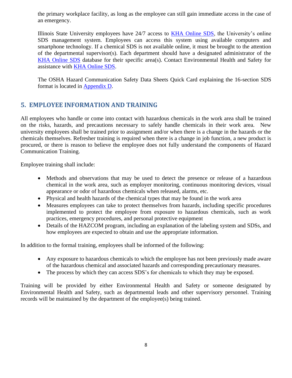the primary workplace facility, as long as the employee can still gain immediate access in the case of an emergency.

Illinois State University employees have 24/7 access to [KHA Online SDS,](https://illinoisstate.kha.com/) the University's online SDS management system. Employees can access this system using available computers and smartphone technology. If a chemical SDS is not available online, it must be brought to the attention of the departmental supervisor(s). Each department should have a designated administrator of the [KHA Online SDS](https://illinoisstate.kha.com/) database for their specific area(s). Contact Environmental Health and Safety for assistance with [KHA Online SDS.](https://illinoisstate.kha.com/)

The OSHA Hazard Communication Safety Data Sheets Quick Card explaining the 16-section SDS format is located in [Appendix D.](#page-10-0)

## <span id="page-7-0"></span>**5. EMPLOYEE INFORMATION AND TRAINING**

All employees who handle or come into contact with hazardous chemicals in the work area shall be trained on the risks, hazards, and precautions necessary to safely handle chemicals in their work area. New university employees shall be trained prior to assignment and/or when there is a change in the hazards or the chemicals themselves. Refresher training is required when there is a change in job function, a new product is procured, or there is reason to believe the employee does not fully understand the components of Hazard Communication Training.

Employee training shall include:

- Methods and observations that may be used to detect the presence or release of a hazardous chemical in the work area, such as employer monitoring, continuous monitoring devices, visual appearance or odor of hazardous chemicals when released, alarms, etc.
- Physical and health hazards of the chemical types that may be found in the work area
- Measures employees can take to protect themselves from hazards, including specific procedures implemented to protect the employee from exposure to hazardous chemicals, such as work practices, emergency procedures, and personal protective equipment
- Details of the HAZCOM program, including an explanation of the labeling system and SDSs, and how employees are expected to obtain and use the appropriate information.

In addition to the formal training, employees shall be informed of the following:

- Any exposure to hazardous chemicals to which the employee has not been previously made aware of the hazardous chemical and associated hazards and corresponding precautionary measures.
- The process by which they can access SDS's for chemicals to which they may be exposed.

Training will be provided by either Environmental Health and Safety or someone designated by Environmental Health and Safety, such as departmental leads and other supervisory personnel. Training records will be maintained by the department of the employee(s) being trained.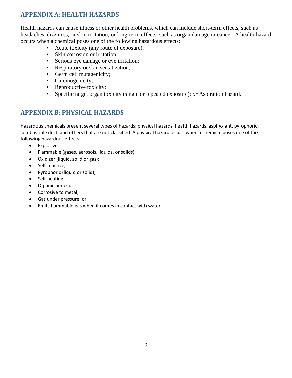# <span id="page-8-0"></span>**APPENDIX A: HEALTH HAZARDS**

Health hazards can cause illness or other health problems, which can include short-term effects, such as headaches, dizziness, or skin irritation, or long-term effects, such as organ damage or cancer. A health hazard occurs when a chemical poses one of the following hazardous effects:

- Acute toxicity (any route of exposure);
- Skin corrosion or irritation;
- Serious eye damage or eye irritation;
- Respiratory or skin sensitization;
- Germ cell mutagenicity;
- Carcinogenicity;
- Reproductive toxicity;
- Specific target organ toxicity (single or repeated exposure); *or* Aspiration hazard.

# <span id="page-8-1"></span>**APPENDIX B: PHYSICAL HAZARDS**

Hazardous chemicals present several types of hazards: physical hazards, health hazards, asphyxiant, pyrophoric, combustible dust, and others that are not classified. A physical hazard occurs when a chemical poses one of the following hazardous effects:

- Explosive;
- Flammable (gases, aerosols, liquids, or solids);
- Oxidizer (liquid, solid or gas);
- Self-reactive;
- Pyrophoric (liquid or solid);
- Self-heating;
- Organic peroxide;
- Corrosive to metal;
- Gas under pressure; or
- Emits flammable gas when it comes in contact with water.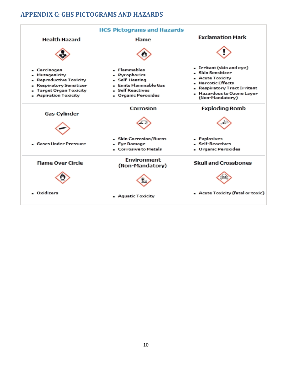## <span id="page-9-0"></span>**APPENDIX C: GHS PICTOGRAMS AND HAZARDS**